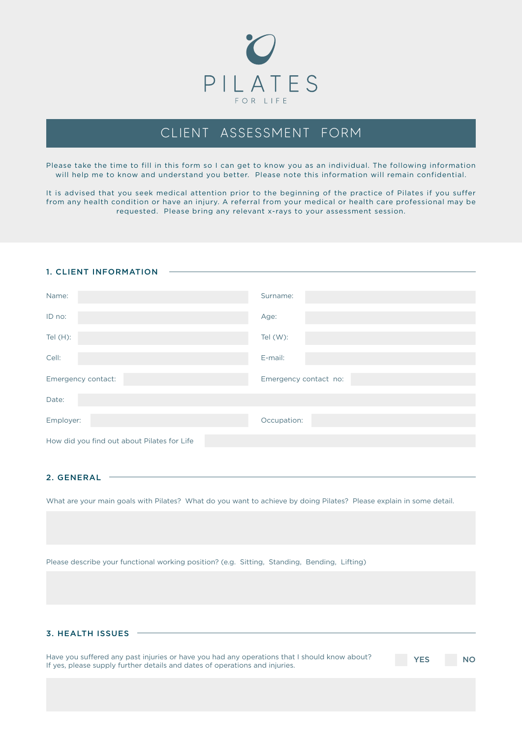

# CLIENT ASSESSMENT FORM

Please take the time to fill in this form so I can get to know you as an individual. The following information will help me to know and understand you better. Please note this information will remain confidential.

It is advised that you seek medical attention prior to the beginning of the practice of Pilates if you suffer from any health condition or have an injury. A referral from your medical or health care professional may be requested. Please bring any relevant x-rays to your assessment session.

#### 1. CLIENT INFORMATION

| Name:                                       | Surname:              |  |  |  |
|---------------------------------------------|-----------------------|--|--|--|
| ID no:                                      | Age:                  |  |  |  |
| Tel $(H)$ :                                 | Tel (W):              |  |  |  |
| Cell:                                       | E-mail:               |  |  |  |
| Emergency contact:                          | Emergency contact no: |  |  |  |
| Date:                                       |                       |  |  |  |
| Employer:                                   | Occupation:           |  |  |  |
| How did you find out about Pilates for Life |                       |  |  |  |

## 2. GENERAL

What are your main goals with Pilates? What do you want to achieve by doing Pilates? Please explain in some detail.

Please describe your functional working position? (e.g. Sitting, Standing, Bending, Lifting)

## 3. HEALTH ISSUES

Have you suffered any past injuries or have you had any operations that I should know about? If yes, please supply further details and dates of operations and injuries.

**YES** NO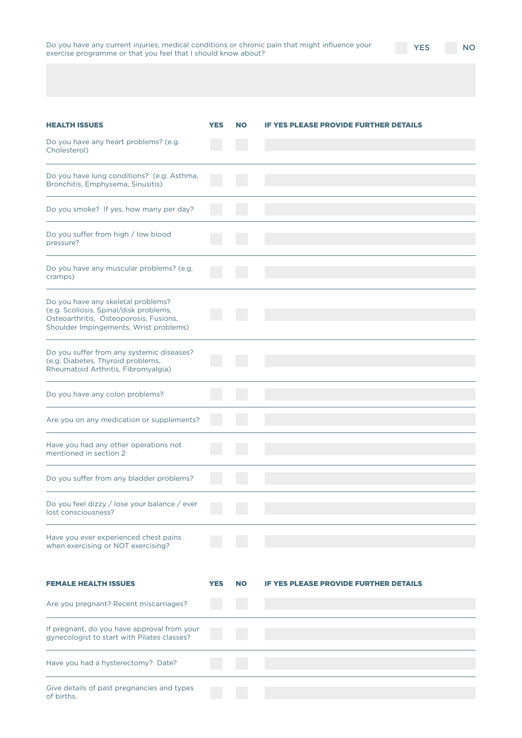| Do you have any current injuries, medical conditions or chronic pain that might influence your |  |  |  |  |
|------------------------------------------------------------------------------------------------|--|--|--|--|
| exercise programme or that you feel that I should know about?                                  |  |  |  |  |

YES NO

| <b>HEALTH ISSUES</b><br>Do you have any heart problems? (e.g.<br>Cholesterol)                                                                                    | <b>YES</b> | <b>NO</b> | <b>IF YES PLEASE PROVIDE FURTHER DETAILS</b> |
|------------------------------------------------------------------------------------------------------------------------------------------------------------------|------------|-----------|----------------------------------------------|
| Do you have lung conditions? (e.g. Asthma,<br>Bronchitis, Emphysema, Sinusitis)                                                                                  |            |           |                                              |
| Do you smoke? If yes, how many per day?                                                                                                                          |            |           |                                              |
| Do you suffer from high / low blood<br>pressure?                                                                                                                 |            |           |                                              |
| Do you have any muscular problems? (e.g.<br>cramps)                                                                                                              |            |           |                                              |
| Do you have any skeletal problems?<br>(e.g. Scoliosis, Spinal/disk problems,<br>Osteoarthritis, Osteoporosis, Fusions,<br>Shoulder Impingements, Wrist problems) |            |           |                                              |
| Do you suffer from any systemic diseases?<br>(e.g. Diabetes, Thyroid problems,<br>Rheumatoid Arthritis, Fibromyalgia)                                            |            |           |                                              |
| Do you have any colon problems?                                                                                                                                  |            |           |                                              |
| Are you on any medication or supplements?                                                                                                                        |            |           |                                              |
| Have you had any other operations not<br>mentioned in section 2                                                                                                  |            |           |                                              |
| Do you suffer from any bladder problems?                                                                                                                         |            |           |                                              |
| Do you feel dizzy / lose your balance / ever<br>lost consciousness?                                                                                              |            |           |                                              |
| Have you ever experienced chest pains<br>when exercising or NOT exercising?                                                                                      |            |           |                                              |
| <b>FEMALE HEALTH ISSUES</b>                                                                                                                                      | <b>YES</b> | <b>NO</b> | <b>IF YES PLEASE PROVIDE FURTHER DETAILS</b> |
| Are you pregnant? Recent miscarriages?                                                                                                                           |            |           |                                              |
| If pregnant, do you have approval from your<br>gynecologist to start with Pilates classes?                                                                       |            |           |                                              |
| Have you had a hysterectomy? Date?                                                                                                                               |            |           |                                              |
| Give details of past pregnancies and types<br>of births.                                                                                                         |            |           |                                              |